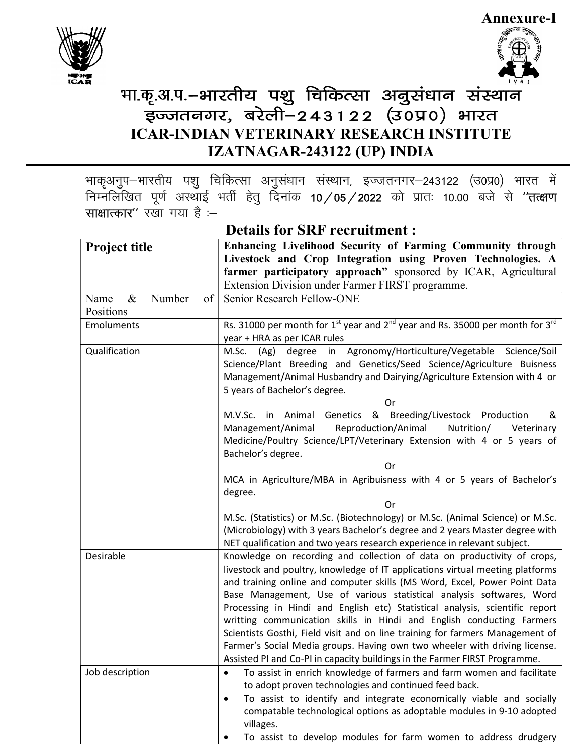



# भा.कृ.अ.प.–भारतीय पशु चिकित्सा अनुसंधान संस्थान  $\frac{1}{5}$ क्जतनगर, बरेली-243122 (30प्र0) भारत ICAR-INDIAN VETERINARY RESEARCH INSTITUTE IZATNAGAR-243122 (UP) INDIA

भाकृअनुप–भारतीय पशु चिकित्सा अनुसंधान संस्थान, इज्जतनगर–243122 (उ०प्र०) भारत में निम्नलिखित पूर्ण अस्थाई भर्ती हेतु दिनांक 10/05/2022 को प्रातः 10.00 बजे से "तत्क्षण साक्षात्कार'' रखा गया है $\sim$ 

| <b>Project title</b>         | Enhancing Livelihood Security of Farming Community through                                                                                                                                                                                                                                                                                                                                                                                                                                                                                                                                                                                                                                                          |  |  |
|------------------------------|---------------------------------------------------------------------------------------------------------------------------------------------------------------------------------------------------------------------------------------------------------------------------------------------------------------------------------------------------------------------------------------------------------------------------------------------------------------------------------------------------------------------------------------------------------------------------------------------------------------------------------------------------------------------------------------------------------------------|--|--|
|                              | Livestock and Crop Integration using Proven Technologies. A                                                                                                                                                                                                                                                                                                                                                                                                                                                                                                                                                                                                                                                         |  |  |
|                              | farmer participatory approach" sponsored by ICAR, Agricultural                                                                                                                                                                                                                                                                                                                                                                                                                                                                                                                                                                                                                                                      |  |  |
|                              | Extension Division under Farmer FIRST programme.                                                                                                                                                                                                                                                                                                                                                                                                                                                                                                                                                                                                                                                                    |  |  |
| $\&$<br>Number<br>of<br>Name | Senior Research Fellow-ONE                                                                                                                                                                                                                                                                                                                                                                                                                                                                                                                                                                                                                                                                                          |  |  |
| Positions                    |                                                                                                                                                                                                                                                                                                                                                                                                                                                                                                                                                                                                                                                                                                                     |  |  |
| Emoluments                   | Rs. 31000 per month for $1^{st}$ year and $2^{nd}$ year and Rs. 35000 per month for $3^{rd}$<br>year + HRA as per ICAR rules                                                                                                                                                                                                                                                                                                                                                                                                                                                                                                                                                                                        |  |  |
| Qualification                | (Ag) degree in Agronomy/Horticulture/Vegetable Science/Soil<br>M.Sc.<br>Science/Plant Breeding and Genetics/Seed Science/Agriculture Buisness<br>Management/Animal Husbandry and Dairying/Agriculture Extension with 4 or<br>5 years of Bachelor's degree.                                                                                                                                                                                                                                                                                                                                                                                                                                                          |  |  |
|                              | Or                                                                                                                                                                                                                                                                                                                                                                                                                                                                                                                                                                                                                                                                                                                  |  |  |
|                              | M.V.Sc. in Animal Genetics & Breeding/Livestock Production<br>&<br>Management/Animal<br>Reproduction/Animal<br>Nutrition/<br>Veterinary<br>Medicine/Poultry Science/LPT/Veterinary Extension with 4 or 5 years of<br>Bachelor's degree.                                                                                                                                                                                                                                                                                                                                                                                                                                                                             |  |  |
|                              | Or                                                                                                                                                                                                                                                                                                                                                                                                                                                                                                                                                                                                                                                                                                                  |  |  |
|                              | MCA in Agriculture/MBA in Agribuisness with 4 or 5 years of Bachelor's<br>degree.                                                                                                                                                                                                                                                                                                                                                                                                                                                                                                                                                                                                                                   |  |  |
|                              | <b>Or</b>                                                                                                                                                                                                                                                                                                                                                                                                                                                                                                                                                                                                                                                                                                           |  |  |
|                              | M.Sc. (Statistics) or M.Sc. (Biotechnology) or M.Sc. (Animal Science) or M.Sc.<br>(Microbiology) with 3 years Bachelor's degree and 2 years Master degree with<br>NET qualification and two years research experience in relevant subject.                                                                                                                                                                                                                                                                                                                                                                                                                                                                          |  |  |
| Desirable                    | Knowledge on recording and collection of data on productivity of crops,<br>livestock and poultry, knowledge of IT applications virtual meeting platforms<br>and training online and computer skills (MS Word, Excel, Power Point Data<br>Base Management, Use of various statistical analysis softwares, Word<br>Processing in Hindi and English etc) Statistical analysis, scientific report<br>writting communication skills in Hindi and English conducting Farmers<br>Scientists Gosthi, Field visit and on line training for farmers Management of<br>Farmer's Social Media groups. Having own two wheeler with driving license.<br>Assisted PI and Co-PI in capacity buildings in the Farmer FIRST Programme. |  |  |
| Job description              | To assist in enrich knowledge of farmers and farm women and facilitate<br>٠<br>to adopt proven technologies and continued feed back.<br>To assist to identify and integrate economically viable and socially<br>$\bullet$<br>compatable technological options as adoptable modules in 9-10 adopted<br>villages.<br>To assist to develop modules for farm women to address drudgery                                                                                                                                                                                                                                                                                                                                  |  |  |

## Details for SRF recruitment :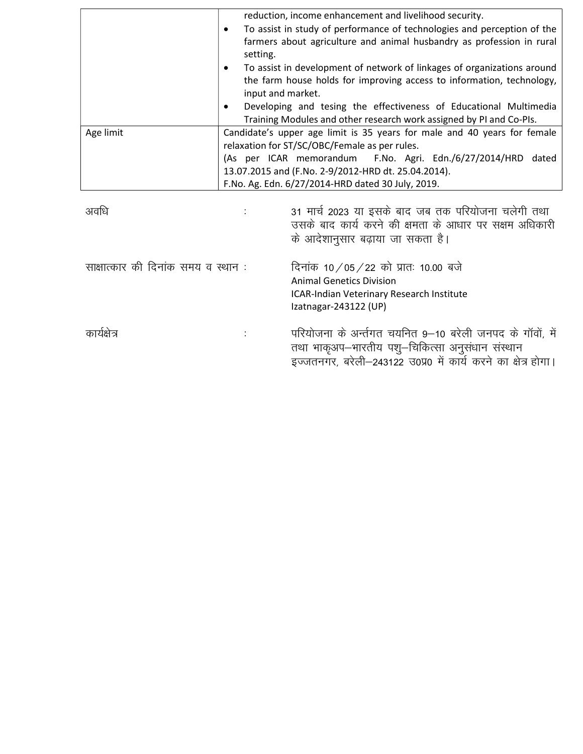|                                     |                                                                                                                           | reduction, income enhancement and livelihood security.                  |  |  |  |
|-------------------------------------|---------------------------------------------------------------------------------------------------------------------------|-------------------------------------------------------------------------|--|--|--|
|                                     | $\bullet$                                                                                                                 | To assist in study of performance of technologies and perception of the |  |  |  |
|                                     |                                                                                                                           | farmers about agriculture and animal husbandry as profession in rural   |  |  |  |
|                                     |                                                                                                                           | setting.                                                                |  |  |  |
|                                     |                                                                                                                           | To assist in development of network of linkages of organizations around |  |  |  |
|                                     |                                                                                                                           | the farm house holds for improving access to information, technology,   |  |  |  |
|                                     |                                                                                                                           | input and market.                                                       |  |  |  |
|                                     |                                                                                                                           | Developing and tesing the effectiveness of Educational Multimedia       |  |  |  |
|                                     |                                                                                                                           | Training Modules and other research work assigned by PI and Co-PIs.     |  |  |  |
| Age limit                           | Candidate's upper age limit is 35 years for male and 40 years for female<br>relaxation for ST/SC/OBC/Female as per rules. |                                                                         |  |  |  |
|                                     |                                                                                                                           |                                                                         |  |  |  |
|                                     |                                                                                                                           | (As per ICAR memorandum<br>F.No. Agri. Edn./6/27/2014/HRD dated         |  |  |  |
|                                     | 13.07.2015 and (F.No. 2-9/2012-HRD dt. 25.04.2014).<br>F.No. Ag. Edn. 6/27/2014-HRD dated 30 July, 2019.                  |                                                                         |  |  |  |
|                                     |                                                                                                                           |                                                                         |  |  |  |
|                                     |                                                                                                                           |                                                                         |  |  |  |
| अवधि                                |                                                                                                                           | 31 मार्च 2023 या इसके बाद जब तक परियोजना चलेगी तथा                      |  |  |  |
|                                     |                                                                                                                           | उसके बाद कार्य करने की क्षमता के आधार पर सक्षम अधिकारी                  |  |  |  |
|                                     |                                                                                                                           | के आदेशानुसार बढ़ाया जा सकता है।                                        |  |  |  |
|                                     |                                                                                                                           |                                                                         |  |  |  |
| साक्षात्कार की दिनांक समय व स्थान : |                                                                                                                           | दिनांक 10/05/22 को प्रातः 10.00 बजे                                     |  |  |  |
|                                     |                                                                                                                           | <b>Animal Genetics Division</b>                                         |  |  |  |
|                                     |                                                                                                                           | ICAR-Indian Veterinary Research Institute                               |  |  |  |
|                                     |                                                                                                                           | Izatnagar-243122 (UP)                                                   |  |  |  |
|                                     |                                                                                                                           |                                                                         |  |  |  |
| कार्यक्षेत्र                        |                                                                                                                           | परियोजना के अर्न्तगत चयनित 9–10 बरेली जनपद के गॉवों, में                |  |  |  |
|                                     |                                                                                                                           | तथा भाकृअप–भारतीय पशु–चिकित्सा अनुसंधान संस्थान                         |  |  |  |
|                                     |                                                                                                                           | इज्जतनगर, बरेली-243122 उ0प्र0 में कार्य करने का क्षेत्र होगा।           |  |  |  |
|                                     |                                                                                                                           |                                                                         |  |  |  |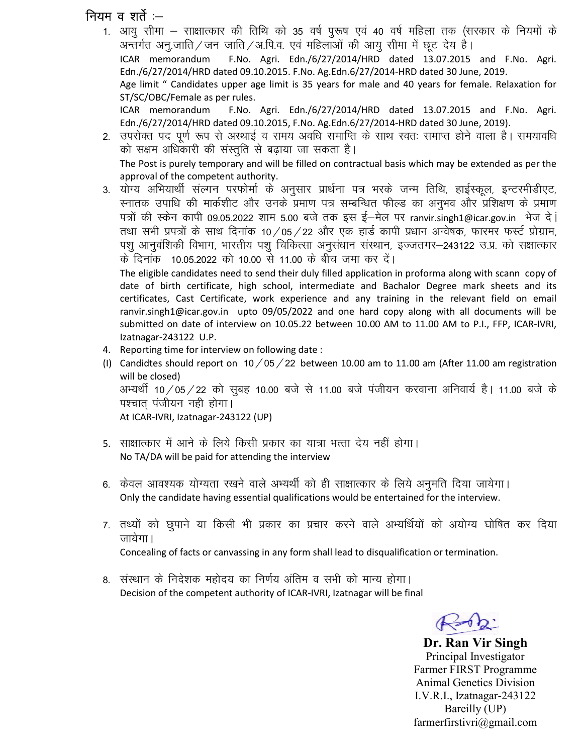# नियम व शर्ते  $-$

- 1. आयु सीमा साक्षात्कार की तिथि को 35 वर्ष पुरूष एवं 40 वर्ष महिला तक (सरकार के नियमों के अन्तर्गत अनु.जाति / जन जाति / अ.पि.व. एवं महिलाओं की आयु सीमा में छूट देय है। ICAR memorandum F.No. Agri. Edn./6/27/2014/HRD dated 13.07.2015 and F.No. Agri. Edn./6/27/2014/HRD dated 09.10.2015. F.No. Ag.Edn.6/27/2014-HRD dated 30 June, 2019. Age limit " Candidates upper age limit is 35 years for male and 40 years for female. Relaxation for ST/SC/OBC/Female as per rules. ICAR memorandum F.No. Agri. Edn./6/27/2014/HRD dated 13.07.2015 and F.No. Agri. Edn./6/27/2014/HRD dated 09.10.2015, F.No. Ag.Edn.6/27/2014-HRD dated 30 June, 2019).
- 2. उपरोक्त पद पूर्ण रूप से अस्थाई व समय अवधि समाप्ति के साथ स्वतः समाप्त होने वाला है। समयावधि को सक्षम अधिकारी की संस्तुति से बढ़ाया जा सकता है। The Post is purely temporary and will be filled on contractual basis which may be extended as per the approval of the competent authority.
- 3. योग्य अभियार्थी संल्गन परफोर्मा के अनुसार प्रार्थना पत्र भरके जन्म तिथि, हाईस्कूल, इन्टरमीडीएट, रनातक उपाधि की मार्कशीट और उनके प्रमाण पत्र सम्बन्धित फील्ड का अनुभव और प्रशिक्षण के प्रमाण पत्रों की स्केन कापी 09.05.2022 शाम 5.00 बजे तक इस ई-मेल पर ranvir.singh1@icar.gov.in भेज दे। तथा सभी प्रपत्रों के साथ दिनांक 10/05/22 और एक हार्ड कापी प्रधान अन्वेषक, फारमर फर्स्ट प्रोग्राम, पशु आनुवंशिकी विभाग, भारतीय पशु चिकित्सा अनुसंधान संस्थान, इज्जतगर-243122 उ.प्र. को सक्षात्कार के दिनांक 10.05.2022 को 10.00 से 11.00 के बीच जमा कर दें।

 The eligible candidates need to send their duly filled application in proforma along with scann copy of date of birth certificate, high school, intermediate and Bachalor Degree mark sheets and its certificates, Cast Certificate, work experience and any training in the relevant field on email ranvir.singh1@icar.gov.in upto 09/05/2022 and one hard copy along with all documents will be submitted on date of interview on 10.05.22 between 10.00 AM to 11.00 AM to P.I., FFP, ICAR-IVRI, Izatnagar-243122 U.P.

- 4. Reporting time for interview on following date :
- (I) Candidtes should report on  $10/05/22$  between 10.00 am to 11.00 am (After 11.00 am registration will be closed) अभ्यर्थी 10 / 05 / 22 को सुबह 10.00 बजे से 11.00 बजे पंजीयन करवाना अनिवार्य है। 11.00 बजे के पश्चात पंजीयन नही होगा। At ICAR-IVRI, Izatnagar-243122 (UP)
- 5.) साक्षात्कार में आने के लिये किसी प्रकार का यात्रा भत्ता देय नहीं होगा। No TA/DA will be paid for attending the interview
- 6. केवल आवश्यक योग्यता रखने वाले अभ्यर्थी को ही साक्षात्कार के लिये अनुमति दिया जायेगा। Only the candidate having essential qualifications would be entertained for the interview.
- 7. तथ्यों को छूपाने या किसी भी प्रकार का प्रचार करने वाले अभ्यर्थियों को अयोग्य घोषित कर दिया जायेगा। Concealing of facts or canvassing in any form shall lead to disqualification or termination.
- 8. संस्थान के निदेशक महोदय का निर्णय अंतिम व सभी को मान्य होगा। Decision of the competent authority of ICAR-IVRI, Izatnagar will be final

Dr. Ran Vir Singh Principal Investigator Farmer FIRST Programme Animal Genetics Division I.V.R.I., Izatnagar-243122 Bareilly (UP) farmerfirstivri@gmail.com